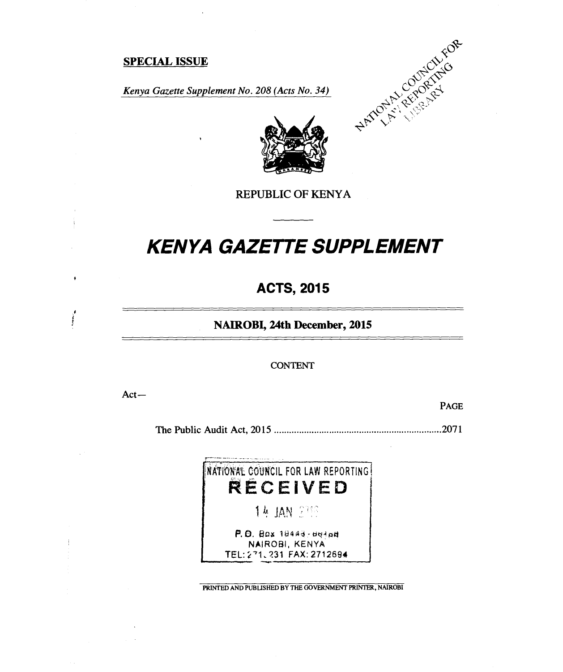## **SPECIAL ISSUE**

*Kenya Gazette Supplement No. 208 (Acts No. 34)* 





**REPUBLIC OF KENYA** 

# *KENYA GAZETTE SUPPLEMENT*

## **ACTS, 2015**

## **NAIROBI, 24th December, 2015**

#### CONTENT

Act—

 $\frac{1}{2}$ 

PAGE

The Public Audit Act, 2015 2071

NATIONAL COUNCIL FOR LAW REPORTING **RECEIVED**  14 JAN 235 P.O. Box 18444-BR108 NAIROBI, KENYA TEL: 271, 231 FAX: 2712694

PRINTED AND PUBLISHED BY THE GOVERNMENT PRINTER, NAIROBI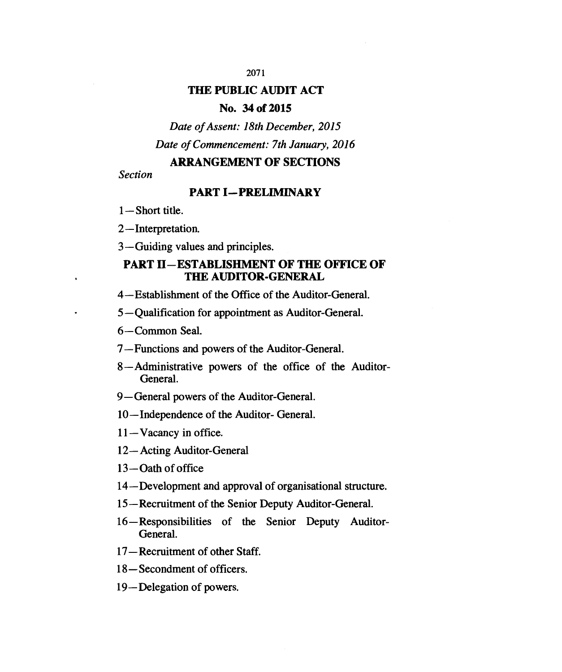# **THE PUBLIC AUDIT ACT**

## **No. 34 of 2015**

*Date of Assent: 18th December, 2015 Date of Commencement: 7th January, 2016* 

## **ARRANGEMENT OF SECTIONS**

*Section* 

## **PART I—PRELIMINARY**

1— Short title.

2—Interpretation.

3—Guiding values and principles.

## **PART II—ESTABLISHMENT OF THE OFFICE OF THE AUDITOR-GENERAL**

- 4—Establishment of the Office of the Auditor-General.
- 5—Qualification for appointment as Auditor-General.

6—Common Seal.

- 7—Functions and powers of the Auditor-General.
- 8—Administrative powers of the office of the Auditor-General.
- 9—General powers of the Auditor-General.
- 10—Independence of the Auditor- General.
- 11—Vacancy in office.
- 12—Acting Auditor-General
- 13—Oath of office
- 14—Development and approval of organisational structure.
- 15—Recruitment of the Senior Deputy Auditor-General.
- 16 Responsibilities of the Senior Deputy Auditor-General.
- 17—Recruitment of other Staff.
- 18—Secondment of officers.
- 19—Delegation of powers.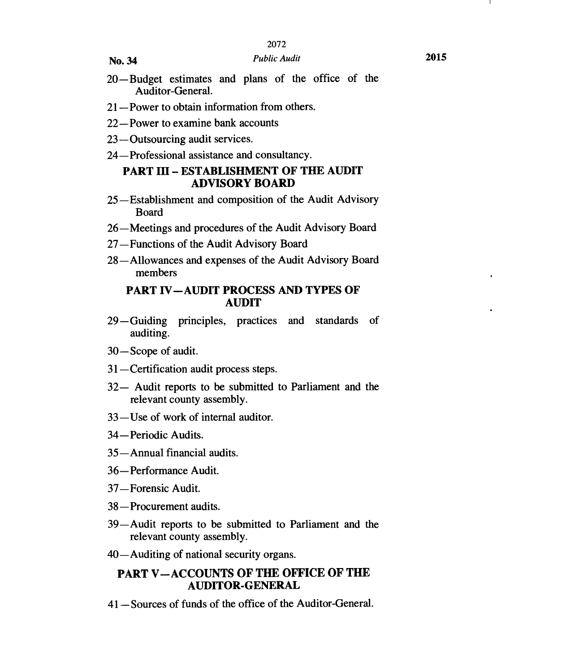## **No. 34** *Public Audit* **<sup>2015</sup>**

- 20—Budget estimates and plans of the office of the Auditor-General.
- 21—Power to obtain information from others.
- 22—Power to examine bank accounts
- 23—Outsourcing audit services.
- 24—Professional assistance and consultancy.

## **PART III – ESTABLISHMENT OF THE AUDIT ADVISORY BOARD**

- 25—Establishment and composition of the Audit Advisory Board
- 26—Meetings and procedures of the Audit Advisory Board
- 27—Functions of the Audit Advisory Board
- 28—Allowances and expenses of the Audit Advisory Board members

## **PART IV—AUDIT PROCESS AND TYPES OF AUDIT**

- 29 Guiding principles, practices and standards of auditing.
- 30—Scope of audit.
- 31 —Certification audit process steps.
- 32— Audit reports to be submitted to Parliament and the relevant county assembly.
- 33—Use of work of internal auditor.
- 34—Periodic Audits.
- 35—Annual financial audits.
- 36—Performance Audit.
- 37—Forensic Audit.
- 38—Procurement audits.
- 39—Audit reports to be submitted to Parliament and the relevant county assembly.
- 40—Auditing of national security organs.

## **PART V—ACCOUNTS OF THE OFFICE OF THE AUDITOR-GENERAL**

41—Sources of funds of the office of the Auditor-General.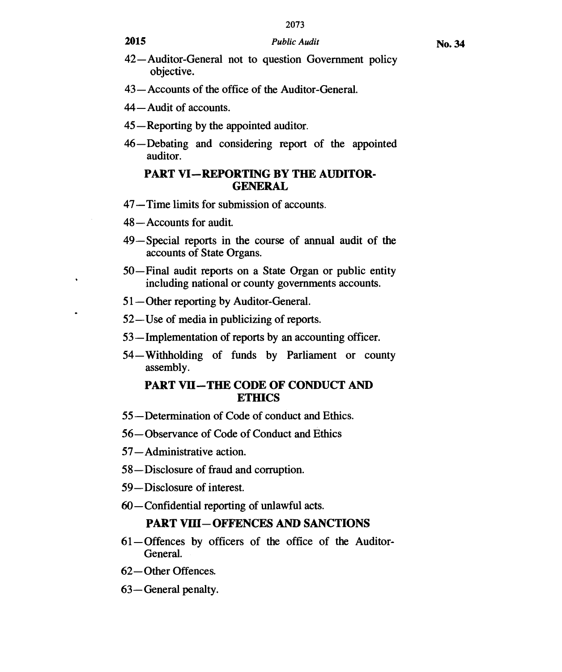**No. 34** 

- 42—Auditor-General not to question Government policy objective.
- 43—Accounts of the office of the Auditor-General.
- 44—Audit of accounts.
- 45—Reporting by the appointed auditor.
- 46—Debating and considering report of the appointed auditor.

## **PART VI—REPORTING BY THE AUDITOR-GENERAL**

- 47—Time limits for submission of accounts.
- 48—Accounts for audit.
- 49—Special reports in the course of annual audit of the accounts of State Organs.
- 50—Final audit reports on a State Organ or public entity including national or county governments accounts.
- 51—Other reporting by Auditor-General.
- 52—Use of media in publicizing of reports.
- 53—Implementation of reports by an accounting officer.
- 54—Withholding of funds by Parliament or county assembly.

## **PART VII—THE CODE OF CONDUCT AND ETHICS**

- 55—Determination of Code of conduct and Ethics.
- 56—Observance of Code of Conduct and Ethics
- 57—Administrative action.
- 58—Disclosure of fraud and corruption.
- 59—Disclosure of interest.
- 60—Confidential reporting of unlawful acts.

## **PART VIII— OFFENCES AND SANCTIONS**

- 61— Offences by officers of the office of the Auditor-General.
- 62—Other Offences.
- 63—General penalty.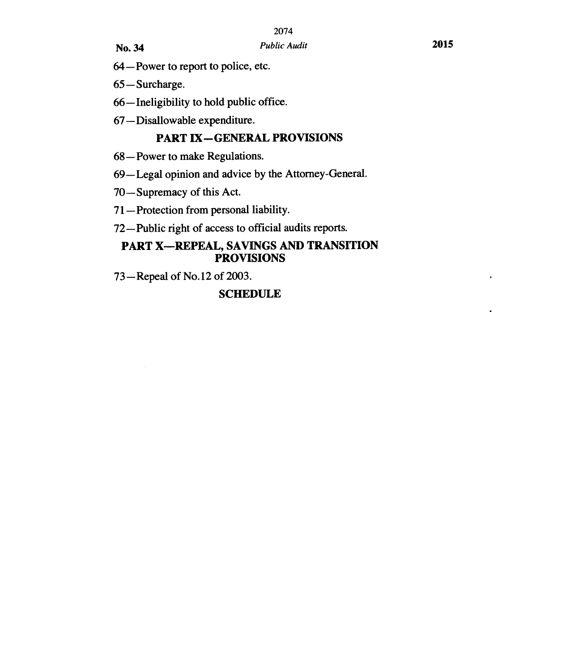## **No. 34** *Public Audit* **2015**

- 
- 64—Power to report to police, etc.
- 65—Surcharge.
- 66—Ineligibility to hold public office.
- 67—Disallowable expenditure.

## **PART IX—GENERAL PROVISIONS**

- 68—Power to make Regulations.
- 69—Legal opinion and advice by the Attorney-General.
- 70—Supremacy of this Act.
- 71—Protection from personal liability.
- 72—Public right of access to official audits reports.

## **PART X—REPEAL, SAVINGS AND TRANSITION PROVISIONS**

73—Repeal of No.12 of 2003.

## **SCHEDULE**

 $\bullet$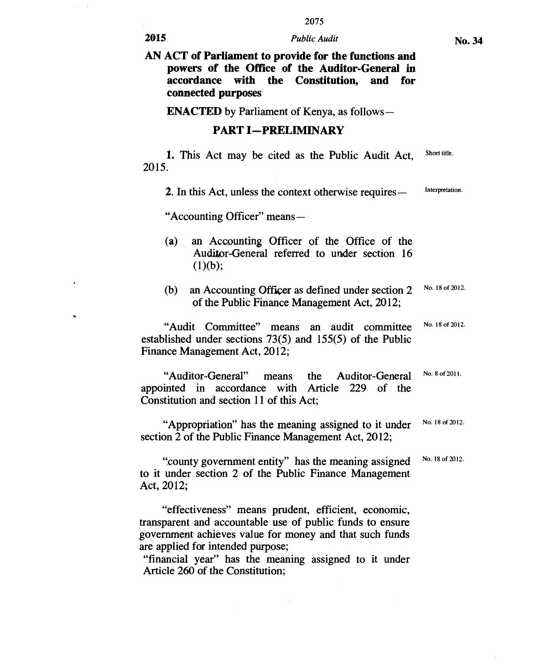#### **2015** *Public Audit*

**AN ACT of Parliament to provide for the functions and powers of the Office of the Auditor-General in accordance with the Constitution, and for connected purposes** 

**ENACTED** by Parliament of Kenya, as follows **—** 

#### **PART I—PRELIMINARY**

1. This Act may be cited as the Public Audit Act, 2015. Short title.

2. In this Act, unless the context otherwise requires— Interpretation.

"Accounting Officer" means—

- (a) an Accounting Officer of the Office of the Auditor-General referred to under section 16  $(1)(b)$ ;
- (b) an Accounting Officer as defined under section 2 of the Public Finance Management Act, 2012; No. 18 of 2012.

"Audit Committee" means an audit committee established under sections 73(5) and 155(5) of the Public Finance Management Act, 2012; No. 18 of 2012.

"Auditor-General" means the Auditor-General<br>
inted in accordance with Article 229 of the appointed in accordance with Article Constitution and section 11 of this Act; No. 8 of 2011.

"Appropriation" has the meaning assigned to it under section 2 of the Public Finance Management Act, 2012; No. 18 of 2012.

"county government entity" has the meaning assigned to it under section 2 of the Public Finance Management Act, 2012; No. 18 of 2012.

"effectiveness" means prudent, efficient, economic, transparent and accountable use of public funds to ensure government achieves value for money and that such funds are applied for intended purpose;

"financial year" has the meaning assigned to it under Article 260 of the Constitution;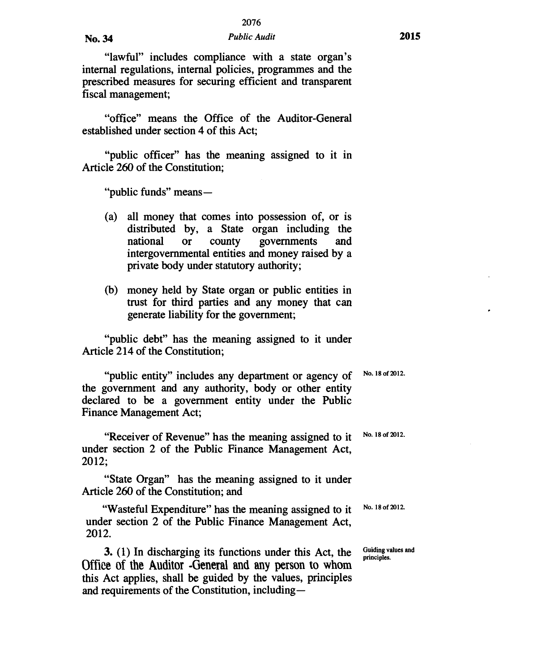**"lawful" includes compliance with a state organ's internal regulations, internal policies, programmes and the prescribed measures for securing efficient and transparent fiscal management;** 

**"office" means the Office of the Auditor-General established under section 4 of this Act;** 

**"public officer" has the meaning assigned to it in Article 260 of the Constitution;** 

**"public funds" means —** 

- **(a) all money that comes into possession of, or is distributed by, a State organ including the national or county governments and intergovernmental entities and money raised by a private body under statutory authority;**
- **(b) money held by State organ or public entities in trust for third parties and any money that can generate liability for the government;**

**"public debt" has the meaning assigned to it under Article 214 of the Constitution;** 

"public entity" includes any department or agency of No. 18 of 2012. **the government and any authority, body or other entity declared to be a government entity under the Public Finance Management Act;** 

**"Receiver of Revenue" has the meaning assigned to it under section 2 of the Public Finance Management Act, 2012;** 

**"State Organ" has the meaning assigned to it under Article 260 of the Constitution; and** 

**"Wasteful Expenditure" has the meaning assigned to it under section 2 of the Public Finance Management Act, 2012.** 

**3. (1) In discharging its functions under this Act, the**  Office of **the Auditor -General and any person to whom this Act applies, shall be guided by the values, principles and requirements of the Constitution, including—** 

No. 18 of 2012.

No. 18 of 2012.

Guiding values and principles.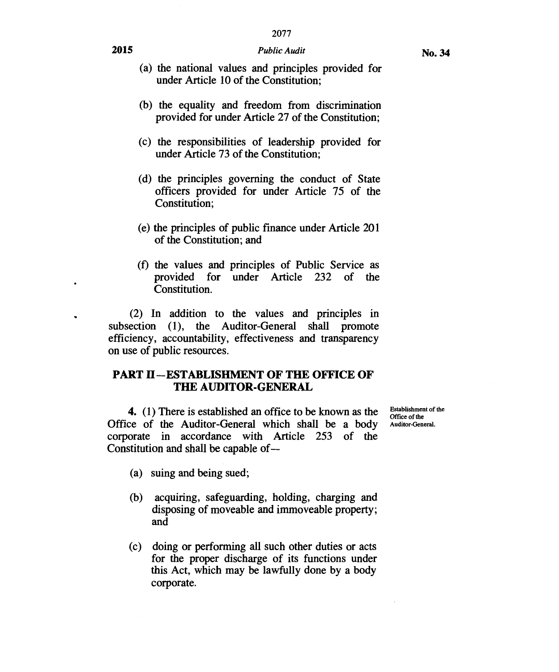### **2015** *Public Audit*

- (a) the national values and principles provided for under Article 10 of the Constitution;
- (b) the equality and freedom from discrimination provided for under Article 27 of the Constitution;
- (c) the responsibilities of leadership provided for under Article 73 of the Constitution;
- (d) the principles governing the conduct of State officers provided for under Article 75 of the Constitution;
- (e) the principles of public finance under Article 201 of the Constitution; and
- (f) the values and principles of Public Service as provided for under Article 232 of the Constitution.

(2) In addition to the values and principles in subsection (1), the Auditor-General shall promote efficiency, accountability, effectiveness and transparency on use of public resources.

## **PART II—ESTABLISHMENT OF THE OFFICE OF THE AUDITOR-GENERAL**

**4.** (1) There is established an office to be known as the Office of the Auditor-General which shall be a body corporate in accordance with Article 253 of the Constitution and shall be capable of—

Establishment of the Office of the Auditor-General.

- (a) suing and being sued;
- (b) acquiring, safeguarding, holding, charging and disposing of moveable and immoveable property; and
- (c) doing or performing all such other duties or acts for the proper discharge of its functions under this Act, which may be lawfully done by a body corporate.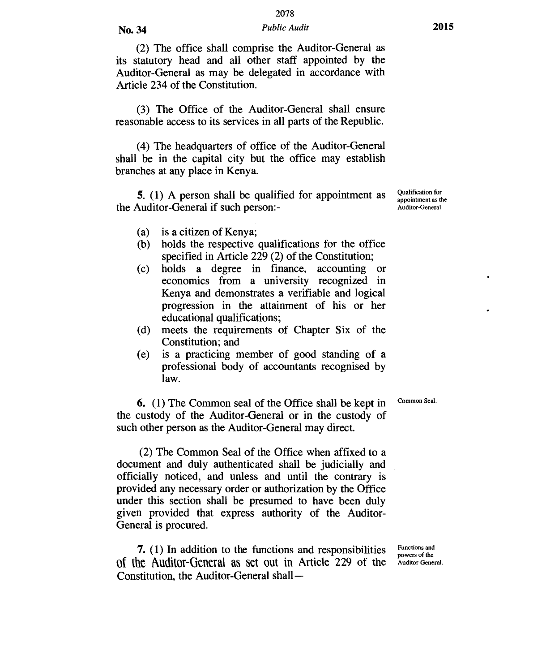## No. 34 *Public Audit* **2015**

(2) The office shall comprise the Auditor-General as its statutory head and all other staff appointed by the Auditor-General as may be delegated in accordance with Article 234 of the Constitution.

(3) The Office of the Auditor-General shall ensure reasonable access to its services in all parts of the Republic.

(4) The headquarters of office of the Auditor-General shall be in the capital city but the office may establish branches at any place in Kenya.

5. (1) A person shall be qualified for appointment as the Auditor-General if such person:-

- (a) is a citizen of Kenya;
- (b) holds the respective qualifications for the office specified in Article 229 (2) of the Constitution;
- (c) holds a degree in finance, accounting or economics from a university recognized in Kenya and demonstrates a verifiable and logical progression in the attainment of his or her educational qualifications;
- (d) meets the requirements of Chapter Six of the Constitution; and
- (e) is a practicing member of good standing of a professional body of accountants recognised by law.

6. (1) The Common seal of the Office shall be kept in the custody of the Auditor-General or in the custody of such other person as the Auditor-General may direct.

(2) The Common Seal of the Office when affixed to a document and duly authenticated shall be judicially and officially noticed, and unless and until the contrary is provided any necessary order or authorization by the Office under this section shall be presumed to have been duly given provided that express authority of the Auditor-General is procured.

**7.** (1) In addition to the functions and responsibilities of the Auditor-General as set out in Article 229 of the Constitution, the Auditor-General shallFunctions and powers of the Auditor-General.

Common Seal.

Qualification for appointment as the Auditor-General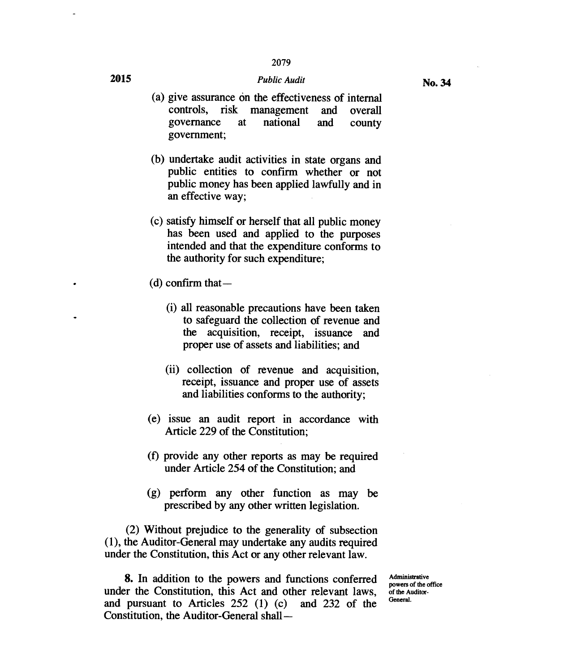#### **2015** *Public Audit*

- (b) undertake audit activities in state organs and public entities to confirm whether or not public money has been applied lawfully and in an effective way;
- (c) satisfy himself or herself that all public money has been used and applied to the purposes intended and that the expenditure conforms to the authority for such expenditure;
- $(d)$  confirm that  $-$ 
	- (i) all reasonable precautions have been taken to safeguard the collection of revenue and the acquisition, receipt, issuance and proper use of assets and liabilities; and
	- (ii) collection of revenue and acquisition, receipt, issuance and proper use of assets and liabilities conforms to the authority;
- (e) issue an audit report in accordance with Article 229 of the Constitution;
- (f) provide any other reports as may be required under Article 254 of the Constitution; and
- (g) perform any other function as may be prescribed by any other written legislation.

(2) Without prejudice to the generality of subsection (1), the Auditor-General may undertake any audits required under the Constitution, this Act or any other relevant law.

**8.** In addition to the powers and functions conferred under the Constitution, this Act and other relevant laws, and pursuant to Articles 252 (1) (c) and 232 of the Constitution, the Auditor-General shall —

Administrative powers of the office of the Auditor-General.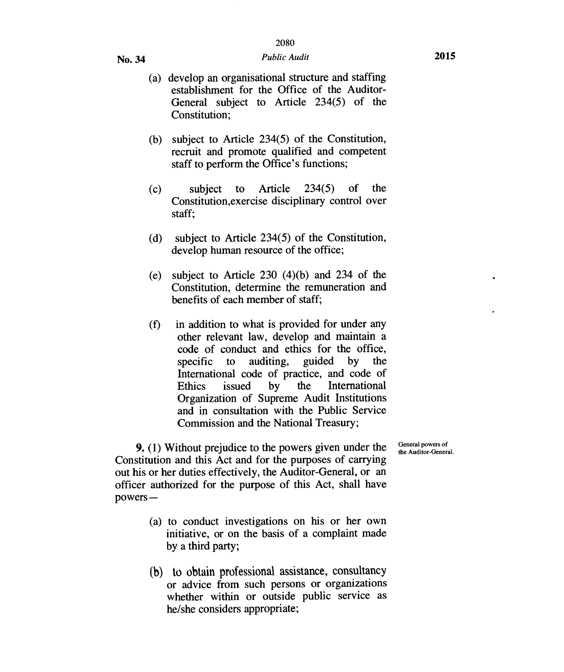## **No. 34** *Public Audit* **2015**

- (a) develop an organisational structure and staffing establishment for the Office of the Auditor-General subject to Article 234(5) of the Constitution;
- (b) subject to Article 234(5) of the Constitution, recruit and promote qualified and competent staff to perform the Office's functions;
- (c) subject to Article 234(5) of the Constitution,exercise disciplinary control over staff;
- (d) subject to Article 234(5) of the Constitution, develop human resource of the office;
- (e) subject to Article 230 (4)(b) and 234 of the Constitution, determine the remuneration and benefits of each member of staff;
- (f) in addition to what is provided for under any other relevant law, develop and maintain a code of conduct and ethics for the office, specific to auditing, guided by the International code of practice, and code of Ethics issued by the International Organization of Supreme Audit Institutions and in consultation with the Public Service Commission and the National Treasury;

**9.** (1) Without prejudice to the powers given under the Constitution and this Act and for the purposes of carrying out his or her duties effectively, the Auditor-General, or an officer authorized for the purpose of this Act, shall have powers —

- (a) to conduct investigations on his or her own initiative, or on the basis of a complaint made by a third party;
- (b) to obtain professional assistance, consultancy or advice from such persons or organizations whether within or outside public service as he/she considers appropriate;

General powers of the Auditor-General.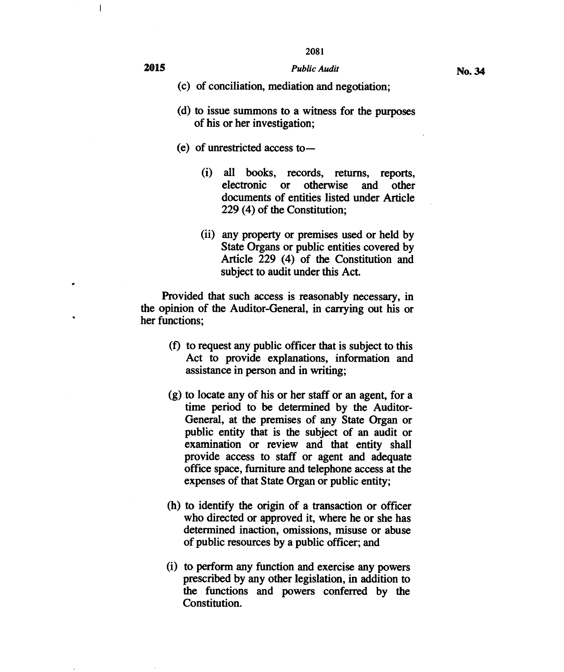#### **2015** *Public Audit*

**(c) of conciliation, mediation and negotiation;** 

- **(d) to issue summons to a witness for the purposes of his or her investigation;**
- **(e) of unrestricted access to-** 
	- **(i) all books, records, returns, reports, electronic or otherwise and other documents of entities listed under Article 229 (4) of the Constitution;**
	- **(ii) any property or premises used or held by State Organs or public entities covered by Article 229 (4) of the Constitution and subject to audit under this Act.**

**Provided that such access is reasonably necessary, in the opinion of the Auditor-General, in carrying out his or her functions;** 

- **(f) to request any public officer that is subject to this Act to provide explanations, information and assistance in person and in writing;**
- **(g) to locate any of his or her staff or an agent, for a time period to be determined by the Auditor-General, at the premises of any State Organ or public entity that is the subject of an audit or examination or review and that entity shall provide access to staff or agent and adequate office space, furniture and telephone access at the expenses of that State Organ or public entity;**
- **(h) to identify the origin of a transaction or officer who directed or approved it, where he or she has determined inaction, omissions, misuse or abuse of public resources by a public officer; and**
- **(i) to perform any function and exercise any powers prescribed by any other legislation, in addition to the functions and powers conferred by the Constitution.**

 $\overline{\phantom{a}}$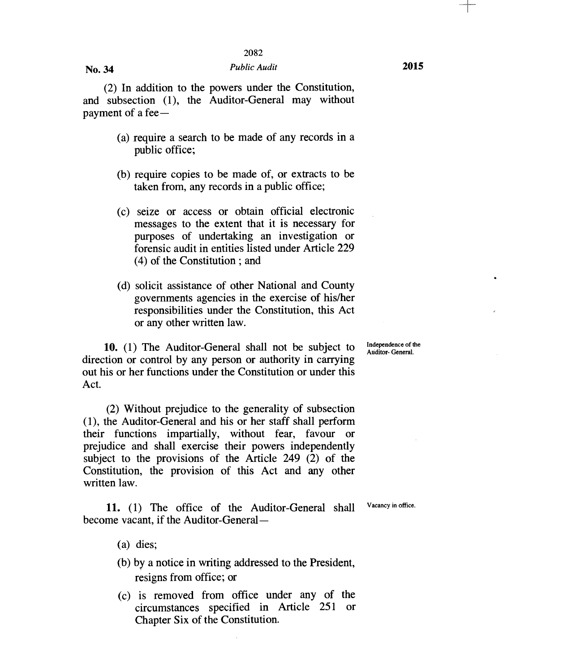## No. 34 *Public Audit* **2015**

(2) In addition to the powers under the Constitution, and subsection (1), the Auditor-General may without payment of a fee —

- (a) require a search to be made of any records in a public office;
- (b) require copies to be made of, or extracts to be taken from, any records in a public office;
- (c) seize or access or obtain official electronic messages to the extent that it is necessary for purposes of undertaking an investigation or forensic audit in entities listed under Article 229 (4) of the Constitution ; and
- (d) solicit assistance of other National and County governments agencies in the exercise of his/her responsibilities under the Constitution, this Act or any other written law.

10. (1) The Auditor-General shall not be subject to direction or control by any person or authority in carrying out his or her functions under the Constitution or under this Act.

(2) Without prejudice to the generality of subsection (1), the Auditor-General and his or her staff shall perform their functions impartially, without fear, favour or prejudice and shall exercise their powers independently subject to the provisions of the Article 249 (2) of the Constitution, the provision of this Act and any other written law.

11. (1) The office of the Auditor-General shall become vacant, if the Auditor-General —

- 
- (a) dies;
- (b) by a notice in writing addressed to the President, resigns from office; or
- (c) is removed from office under any of the circumstances specified in Article 251 or Chapter Six of the Constitution.

Independence of the Auditor- General.

Vacancy in office.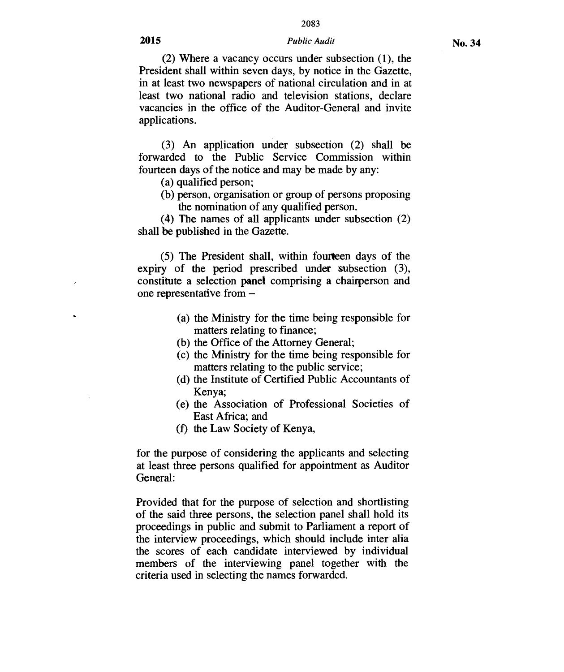### **2015** *Public Audit*

(2) Where a vacancy occurs under subsection (1), the President shall within seven days, by notice in the Gazette, in at least two newspapers of national circulation and in at least two national radio and television stations, declare vacancies in the office of the Auditor-General and invite applications.

(3) An application under subsection (2) shall be forwarded to the Public Service Commission within fourteen days of the notice and may be made by any:

- (a) qualified person;
- (b) person, organisation or group of persons proposing the nomination of any qualified person.

(4) The names of all applicants under subsection (2) shall be published in the Gazette.

(5) The President shall, within fourteen days of the expiry of the period prescribed under subsection (3), constitute a selection panel comprising a chairperson and one representative from —

- (a) the Ministry for the time being responsible for matters relating to finance;
- (b) the Office of the Attorney General;
- (c) the Ministry for the time being responsible for matters relating to the public service;
- (d) the Institute of Certified Public Accountants of Kenya;
- (e) the Association of Professional Societies of East Africa; and
- (f) the Law Society of Kenya,

for the purpose of considering the applicants and selecting at least three persons qualified for appointment as Auditor General:

Provided that for the purpose of selection and shortlisting of the said three persons, the selection panel shall hold its proceedings in public and submit to Parliament a report of the interview proceedings, which should include inter alia the scores of each candidate interviewed by individual members of the interviewing panel together with the criteria used in selecting the names forwarded.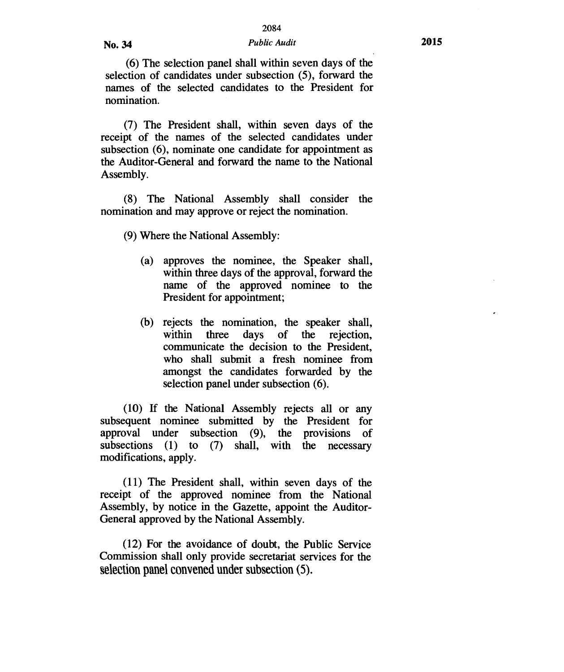(6) The selection panel shall within seven days of the selection of candidates under subsection (5), forward the names of the selected candidates to the President for nomination.

(7) The President shall, within seven days of the receipt of the names of the selected candidates under subsection (6), nominate one candidate for appointment as the Auditor-General and forward the name to the National Assembly.

(8) The National Assembly shall consider the nomination and may approve or reject the nomination.

(9) Where the National Assembly:

- (a) approves the nominee, the Speaker shall, within three days of the approval, forward the name of the approved nominee to the President for appointment;
- (b) rejects the nomination, the speaker shall, within three days of the rejection, communicate the decision to the President, who shall submit a fresh nominee from amongst the candidates forwarded by the selection panel under subsection (6).

(10) If the National Assembly rejects all or any subsequent nominee submitted by the President for approval under subsection (9), the provisions of subsections (1) to (7) shall, with the necessary to  $(7)$  shall, with the necessary modifications, apply.

(11) The President shall, within seven days of the receipt of the approved nominee from the National Assembly, by notice in the Gazette, appoint the Auditor-General approved by the National Assembly.

(12) For the avoidance of doubt, the Public Service Commission shall only provide secretariat services for the selection panel convened under subsection (5).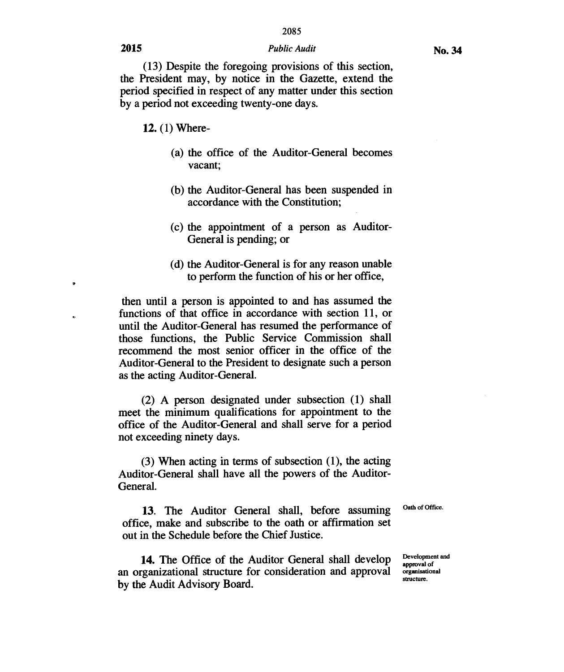#### **2015** *Public Audit*

(13) Despite the foregoing provisions of this section, the President may, by notice in the Gazette, extend the period specified in respect of any matter under this section by a period not exceeding twenty-one days.

12. (1) Where-

- (a) the office of the Auditor-General becomes vacant;
- (b) the Auditor-General has been suspended in accordance with the Constitution;
- (c) the appointment of a person as Auditor-General is pending; or
- (d) the Auditor-General is for any reason unable to perform the function of his or her office,

then until a person is appointed to and has assumed the functions of that office in accordance with section 11, or until the Auditor-General has resumed the performance of those functions, the Public Service Commission shall recommend the most senior officer in the office of the Auditor-General to the President to designate such a person as the acting Auditor-General.

(2) A person designated under subsection (1) shall meet the minimum qualifications for appointment to the office of the Auditor-General and shall serve for a period not exceeding ninety days.

(3) When acting in terms of subsection (1), the acting Auditor-General shall have all the powers of the Auditor-General.

**Oath** of Office.

13. The Auditor General shall, before assuming office, make and subscribe to the oath or affirmation set out in the Schedule before the Chief Justice.

14. The Office of the Auditor General shall develop an organizational structure for consideration and approval by the Audit Advisory Board.

Development and approval of organisational structure.

 $\ddot{\phantom{a}}$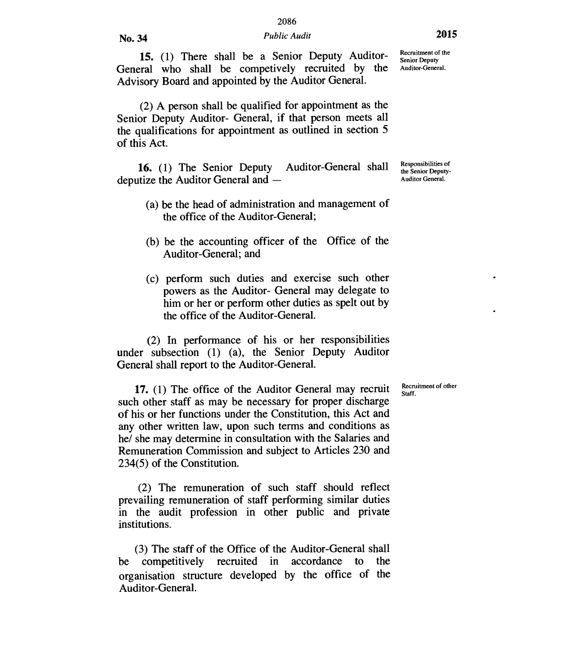## 15. (1) There shall be a Senior Deputy Auditor-General who shall be competively recruited by the Advisory Board and appointed by the Auditor General.

(2) A person shall be qualified for appointment as the Senior Deputy Auditor- General, if that person meets all the qualifications for appointment as outlined in section 5 of this Act.

16. (1) The Senior Deputy Auditor-General shall deputize the Auditor General and —

- (a) be the head of administration and management of the office of the Auditor-General;
- (b) be the accounting officer of the Office of the Auditor-General; and
- (c) perform such duties and exercise such other powers as the Auditor- General may delegate to him or her or perform other duties as spelt out by the office of the Auditor-General.

(2) In performance of his or her responsibilities under subsection (1) (a), the Senior Deputy Auditor General shall report to the Auditor-General.

17. (1) The office of the Auditor General may recruit such other staff as may be necessary for proper discharge of his or her functions under the Constitution, this Act and any other written law, upon such terms and conditions as he/ she may determine in consultation with the Salaries and Remuneration Commission and subject to Articles 230 and 234(5) of the Constitution.

(2) The remuneration of such staff should reflect prevailing remuneration of staff performing similar duties in the audit profession in other public and private institutions.

(3) The staff of the Office of the Auditor-General shall be competitively recruited in accordance to organisation structure developed by the office of the Auditor-General.

Recruitment of the Senior Deputy Auditor-General.

Responsibilities of the Senior Deputy-Auditor General.

Recruitment of other Staff.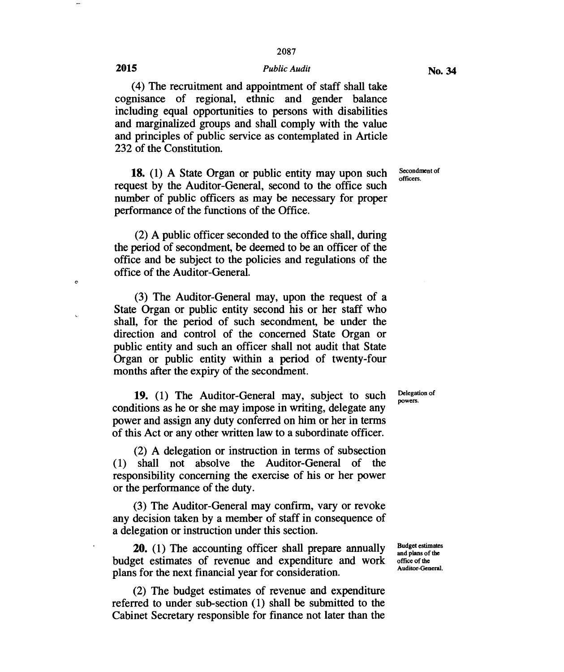## 2015 *Public Audit*

(4) The recruitment and appointment of staff shall take cognisance of regional, ethnic and gender balance including equal opportunities to persons with disabilities and marginalized groups and shall comply with the value and principles of public service as contemplated in Article 232 of the Constitution.

**18.** (1) A State Organ or public entity may upon such request by the Auditor-General, second to the office such number of public officers as may be necessary for proper performance of the functions of the Office.

(2) A public officer seconded to the office shall, during the period of secondment, be deemed to be an officer of the office and be subject to the policies and regulations of the office of the Auditor-General.

(3) The Auditor-General may, upon the request of a State Organ or public entity second his or her staff who shall, for the period of such secondment, be under the direction and control of the concerned State Organ or public entity and such an officer shall not audit that State Organ or public entity within a period of twenty-four months after the expiry of the secondment.

**19.** (1) The Auditor-General may, subject to such conditions as he or she may impose in writing, delegate any power and assign any duty conferred on him or her in terms of this Act or any other written law to a subordinate officer.

(2) A delegation or instruction in terms of subsection (1) shall not absolve the Auditor-General of the responsibility concerning the exercise of his or her power or the performance of the duty.

(3) The Auditor-General may confirm, vary or revoke any decision taken by a member of staff in consequence of a delegation or instruction under this section.

**20.** (1) The accounting officer shall prepare annually budget estimates of revenue and expenditure and work plans for the next financial year for consideration.

(2) The budget estimates of revenue and expenditure referred to under sub-section (1) shall be submitted to the Cabinet Secretary responsible for finance not later than the Budget estimates and plans of the office of the Auditor-General.

Delegation of powers.

Secondment of officers.

 $\ddot{\circ}$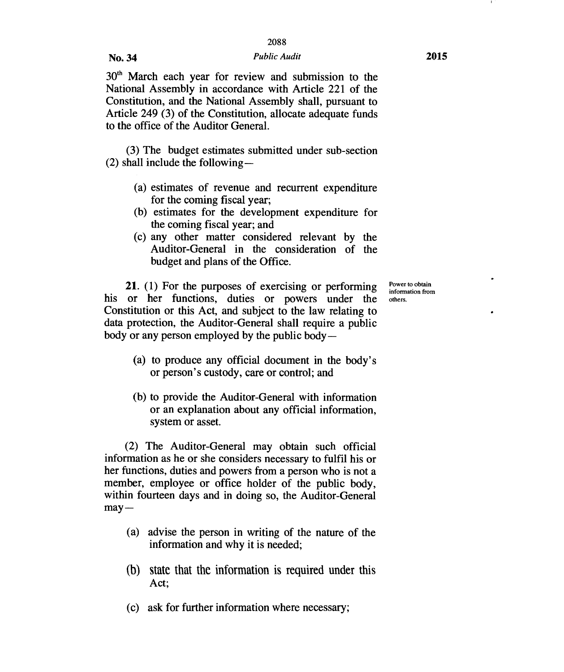## No. 34 *Public Audit* **2015**

30<sup>th</sup> March each year for review and submission to the National Assembly in accordance with Article 221 of the Constitution, and the National Assembly shall, pursuant to Article 249 (3) of the Constitution, allocate adequate funds to the office of the Auditor General.

(3) The budget estimates submitted under sub-section (2) shall include the following —

- (a) estimates of revenue and recurrent expenditure for the coming fiscal year;
- (b) estimates for the development expenditure for the coming fiscal year; and
- (c) any other matter considered relevant by the Auditor-General in the consideration of the budget and plans of the Office.

**21.** (1) For the purposes of exercising or performing his or her functions, duties or powers under the Constitution or this Act, and subject to the law relating to data protection, the Auditor-General shall require a public body or any person employed by the public body —

Power to obtain information from others.

- (a) to produce any official document in the body's or person's custody, care or control; and
- (b) to provide the Auditor-General with information or an explanation about any official information, system or asset.

(2) The Auditor-General may obtain such official information as he or she considers necessary to fulfil his or her functions, duties and powers from a person who is not a member, employee or office holder of the public body, within fourteen days and in doing so, the Auditor-General  $may -$ 

- (a) advise the person in writing of the nature of the information and why it is needed;
- (b) state that the information is required under this Act;
- (c) ask for further information where necessary;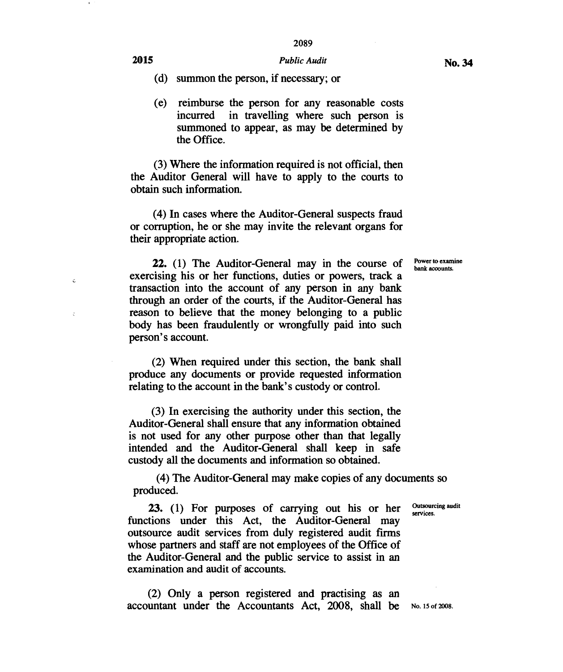## **2015** *Public Audit* **No. 34**

**(d) summon the person, if necessary; or** 

**(e) reimburse the person for any reasonable costs incurred in travelling where such person is summoned to appear, as may be determined by the Office.** 

**(3) Where the information required is not official, then the Auditor General will have to apply to the courts to obtain such information.** 

**(4) In cases where the Auditor-General suspects fraud or corruption, he or she may invite the relevant organs for their appropriate action.** 

> Power to *examine bank* accounts.

**22. (1) The Auditor-General may in the course of exercising his or her functions, duties or powers, track a transaction into the account of any person in any bank through an order of the courts, if the Auditor-General has reason to believe that the money belonging to a public body has been fraudulently or wrongfully paid into such person's account.** 

 $\epsilon$ 

**(2) When required under this section, the bank shall produce any documents or provide requested information relating to the account in the bank's custody or control.** 

**(3) In exercising the authority under this section, the Auditor-General shall ensure that any information obtained is not used for any other purpose other than that legally intended and the Auditor-General shall keep in safe custody all the documents and information so obtained.** 

**(4) The Auditor-General may make copies of any documents so produced.** 

> Outsourcing audit services.

23. (1) For purposes of carrying out his or her functions under this Act, the Auditor-General may outsource audit services from duly registered audit firms whose partners and staff are not employees of the Office of the Auditor-General and the public service to assist in an examination and audit of accounts.

(2) Only a person registered and practising as an accountant under the Accountants Act, 2008, shall be No. 15 of 2008.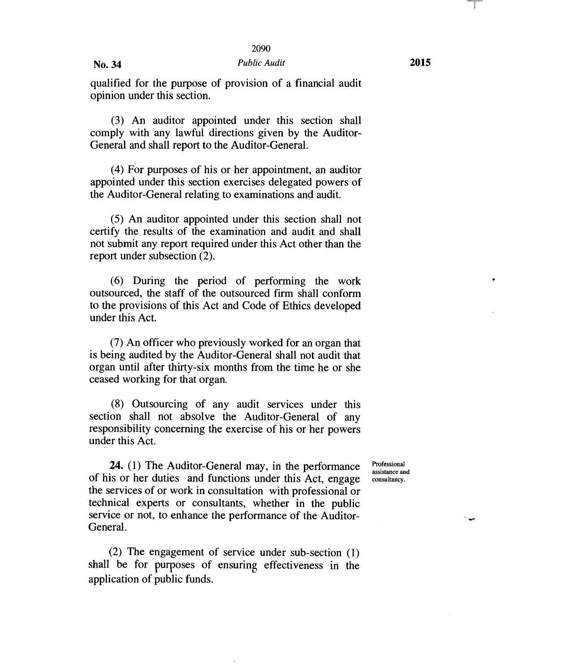qualified for the purpose of provision of a financial audit opinion under this section.

(3) An auditor appointed under this section shall comply with any lawful directions given by the Auditor-General and shall report to the Auditor-General.

(4) For purposes of his or her appointment, an auditor appointed under this section exercises delegated powers of the Auditor-General relating to examinations and audit.

(5) An auditor appointed under this section shall not certify the results of the examination and audit and shall not submit any report required under this Act other than the report under subsection (2).

(6) During the period of performing the work outsourced, the staff of the outsourced firm shall conform to the provisions of this Act and Code of Ethics developed under this Act.

(7) An officer who previously worked for an organ that is being audited by the Auditor-General shall not audit that organ until after thirty-six months from the time he or she ceased working for that organ.

(8) Outsourcing of any audit services under this section shall not absolve the Auditor-General of any responsibility concerning the exercise of his or her powers under this Act.

**24.** (1) The Auditor-General may, in the performance of his or her duties and functions under this Act, engage the services of or work in consultation with professional or technical experts or consultants, whether in the public service or not, to enhance the performance of the Auditor-General.

(2) The engagement of service under sub-section (1) shall be for purposes of ensuring effectiveness in the application of public funds.

Professional assistance and consultancy.

÷

ب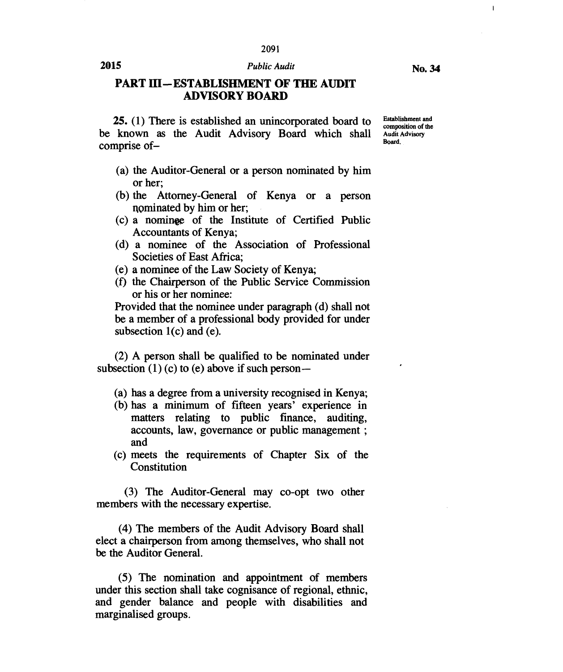## **2015** *Public Audit* **No. 34**

 $\mathbf{I}$ 

## **PART HI—ESTABLISHMENT OF THE AUDIT ADVISORY BOARD**

**25.** (1) There is established an unincorporated board to be known as the Audit Advisory Board which shall comprise of—

Establishment and composition of the Audit Advisory Board.

- (a) the Auditor-General or a person nominated by him or her;
- (b) the Attorney-General of Kenya or a person nominated by him or her;
- (c) a nominee of the Institute of Certified Public Accountants of Kenya;
- (d) a nominee of the Association of Professional Societies of East Africa;
- (e) a nominee of the Law Society of Kenya;
- (f) the Chairperson of the Public Service Commission or his or her nominee:

Provided that the nominee under paragraph (d) shall not be a member of a professional body provided for under subsection  $1(c)$  and  $(e)$ .

(2) A person shall be qualified to be nominated under subsection  $(1)$  (c) to (e) above if such person—

- (a) has a degree from a university recognised in Kenya;
- (b) has a minimum of fifteen years' experience in matters relating to public finance, auditing, accounts, law, governance or public management ; and
- (c) meets the requirements of Chapter Six of the Constitution

(3) The Auditor-General may co-opt two other members with the necessary expertise.

(4) The members of the Audit Advisory Board shall elect a chairperson from among themselves, who shall not be the Auditor General.

(5) The nomination and appointment of members under this section shall take cognisance of regional, ethnic, and gender balance and people with disabilities and marginalised groups.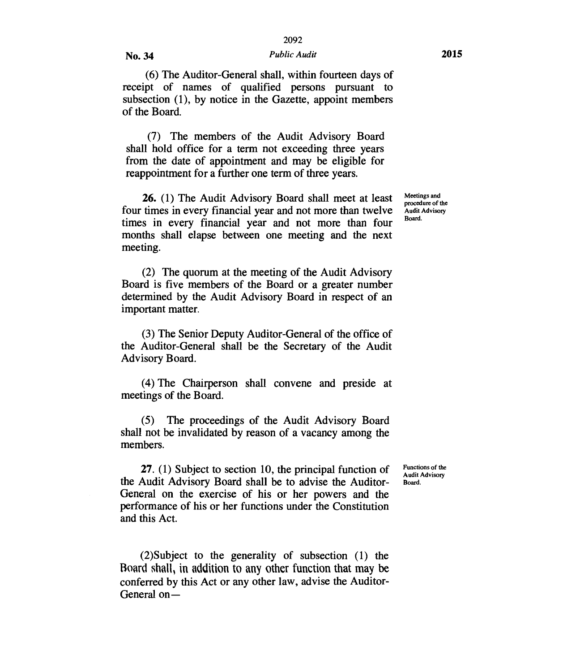## **No. 34** *Public Audit* **2015**

(6) The Auditor-General shall, within fourteen days of receipt of names of qualified persons pursuant to subsection (1), by notice in the Gazette, appoint members of the Board.

(7) The members of the Audit Advisory Board shall hold office for a term not exceeding three years from the date of appointment and may be eligible for reappointment for a further one term of three years.

**26.** (1) The Audit Advisory Board shall meet at least four times in every financial year and not more than twelve times in every financial year and not more than four months shall elapse between one meeting and the next meeting.

(2) The quorum at the meeting of the Audit Advisory Board is five members of the Board or a greater number determined by the Audit Advisory Board in respect of an important matter.

(3) The Senior Deputy Auditor-General of the office of the Auditor-General shall be the Secretary of the Audit Advisory Board.

(4) The Chairperson shall convene and preside at meetings of the Board.

(5) The proceedings of the Audit Advisory Board shall not be invalidated by reason of a vacancy among the members.

**27.** (1) Subject to section 10, the principal function of the Audit Advisory Board shall be to advise the Auditor-General on the exercise of his or her powers and the performance of his or her functions under the Constitution and this Act.

(2)Subject to the generality of subsection (1) the Board shall, in addition to any other function that may be conferred by this Act or any other law, advise the Auditor-General onMeetings and procedure of the Audit Advisory Board.

Functions of the Audit Advisory Board.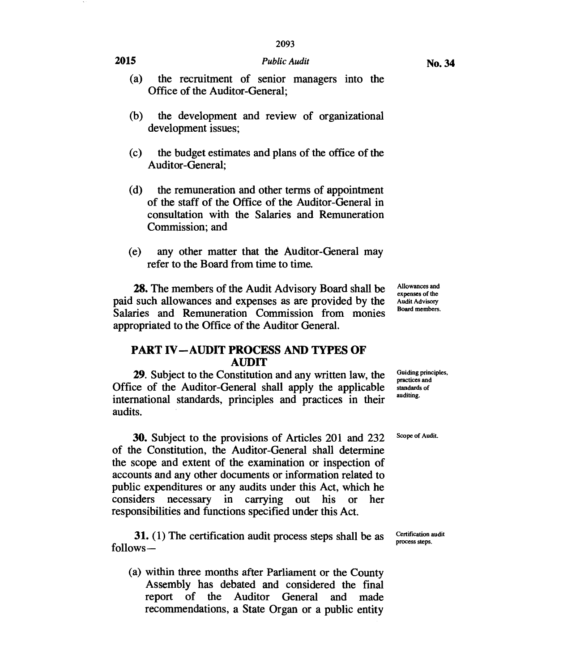## **2015** *Public Audit* **<b>No. 34 No. 34**

- (b) the development and review of organizational development issues;
- (c) the budget estimates and plans of the office of the Auditor-General;
- (d) the remuneration and other terms of appointment of the staff of the Office of the Auditor-General in consultation with the Salaries and Remuneration Commission; and
- (e) any other matter that the Auditor-General may refer to the Board from time to time.

28. The members of the Audit Advisory Board shall be paid such allowances and expenses as are provided by the Salaries and Remuneration Commission from monies appropriated to the Office of the Auditor General.

## **PART IV—AUDIT PROCESS AND TYPES OF AUDIT**

29. Subject to the Constitution and any written law, the Office of the Auditor-General shall apply the applicable international standards, principles and practices in their audits.

30. Subject to the provisions of Articles 201 and 232 of the Constitution, the Auditor-General shall determine the scope and extent of the examination or inspection of accounts and any other documents or information related to public expenditures or any audits under this Act, which he considers necessary in carrying out his or her responsibilities and functions specified under this Act.

31. (1) The certification audit process steps shall be as follows—

(a) within three months after Parliament or the County Assembly has debated and considered the final report of the Auditor General and made recommendations, a State Organ or a public entity Allowances and expenses of the Audit Advisory Board members.

Guiding principles, practices and standards of auditing.

Scope of Audit.

Certification audit process steps.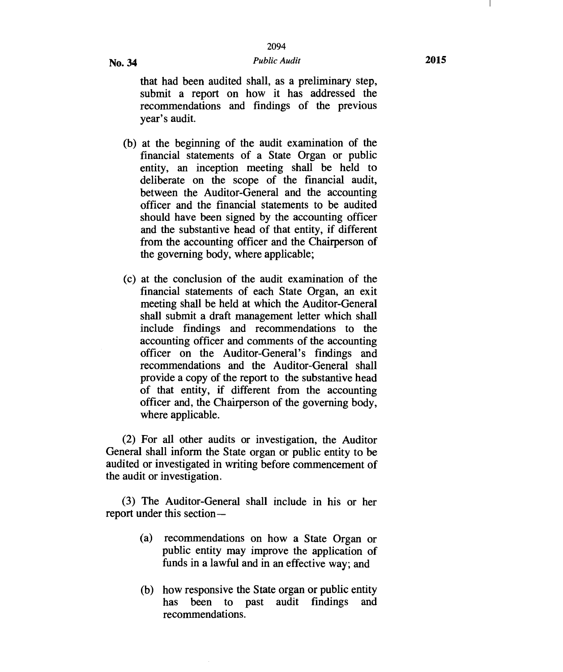that had been audited shall, as a preliminary step, submit a report on how it has addressed the recommendations and findings of the previous year's audit.

- (b) at the beginning of the audit examination of the financial statements of a State Organ or public entity, an inception meeting shall be held to deliberate on the scope of the financial audit, between the Auditor-General and the accounting officer and the financial statements to be audited should have been signed by the accounting officer and the substantive head of that entity, if different from the accounting officer and the Chairperson of the governing body, where applicable;
- (c) at the conclusion of the audit examination of the financial statements of each State Organ, an exit meeting shall be held at which the Auditor-General shall submit a draft management letter which shall include findings and recommendations to the accounting officer and comments of the accounting officer on the Auditor-General's findings and recommendations and the Auditor-General shall provide a copy of the report to the substantive head of that entity, if different from the accounting officer and, the Chairperson of the governing body, where applicable.

(2) For all other audits or investigation, the Auditor General shall inform the State organ or public entity to be audited or investigated in writing before commencement of the audit or investigation.

(3) The Auditor-General shall include in his or her report under this section—

- (a) recommendations on how a State Organ or public entity may improve the application of funds in a lawful and in an effective way; and
- (b) how responsive the State organ or public entity has been to past audit findings and recommendations.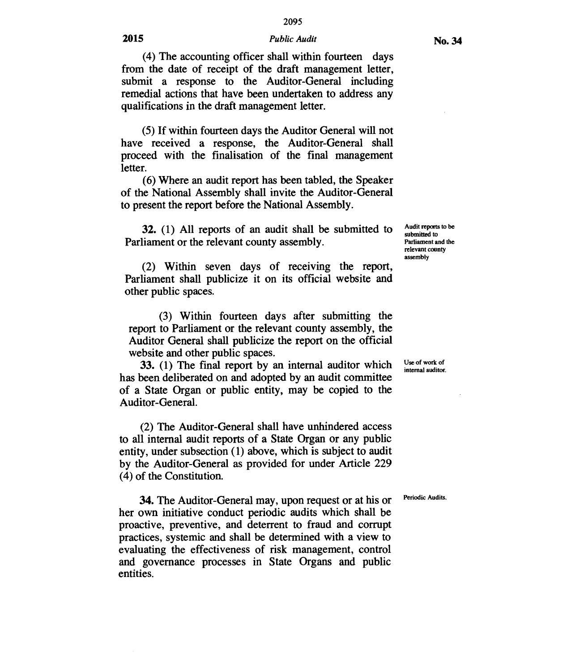## **2015** *Public Audit* **No. 34**

(4) The accounting officer shall within fourteen days from the date of receipt of the draft management letter, submit a response to the Auditor-General including remedial actions that have been undertaken to address any qualifications in the draft management letter.

(5) If within fourteen days the Auditor General will not have received a response, the Auditor-General shall proceed with the finalisation of the final management letter.

(6) Where an audit report has been tabled, the Speaker of the National Assembly shall invite the Auditor-General to present the report before the National Assembly.

32. (1) All reports of an audit shall be submitted to Parliament or the relevant county assembly.

(2) Within seven days of receiving the report, Parliament shall publicize it on its official website and other public spaces.

(3) Within fourteen days after submitting the report to Parliament or the relevant county assembly, the Auditor General shall publicize the report on the official website and other public spaces.

33. (1) The final report by an internal auditor which has been deliberated on and adopted by an audit committee of a State Organ or public entity, may be copied to the Auditor-General.

(2) The Auditor-General shall have unhindered access to all internal audit reports of a State Organ or any public entity, under subsection (1) above, which is subject to audit by the Auditor-General as provided for under Article 229 (4) of the Constitution.

34. The Auditor-General may, upon request or at his or her own initiative conduct periodic audits which shall be proactive, preventive, and deterrent to fraud and corrupt practices, systemic and shall be determined with a view to evaluating the effectiveness of risk management, control and governance processes in State Organs and public entities.

Audit reports to be submitted to Parliament and the relevant county assembly

Use of work of internal auditor.

Periodic Audits.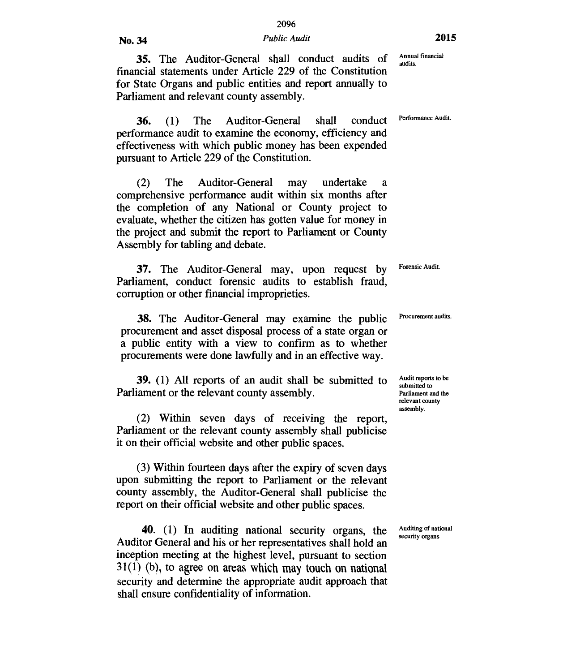#### **No. 34** *Public Audit*

35. The Auditor-General shall conduct audits of financial statements under Article 229 of the Constitution for State Organs and public entities and report annually to Parliament and relevant county assembly.

36. (1) The Auditor-General shall conduct Performance Audit performance audit to examine the economy, efficiency and effectiveness with which public money has been expended pursuant to Article 229 of the Constitution.

(2) The Auditor-General may undertake a comprehensive performance audit within six months after the completion of any National or County project to evaluate, whether the citizen has gotten value for money in the project and submit the report to Parliament or County Assembly for tabling and debate.

37. The Auditor-General may, upon request by Parliament, conduct forensic audits to establish fraud, corruption or other financial improprieties.

38. The Auditor-General may examine the public procurement and asset disposal process of a state organ or a public entity with a view to confirm as to whether procurements were done lawfully and in an effective way.

39. (1) All reports of an audit shall be submitted to Parliament or the relevant county assembly.

(2) Within seven days of receiving the report, Parliament or the relevant county assembly shall publicise it on their official website and other public spaces.

(3) Within fourteen days after the expiry of seven days upon submitting the report to Parliament or the relevant county assembly, the Auditor-General shall publicise the report on their official website and other public spaces.

**40.** (1) In auditing national security organs, the Auditor General and his or her representatives shall hold an inception meeting at the highest level, pursuant to section 31(1) (b), to agree on areas which may touch on national security and determine the appropriate audit approach that shall ensure confidentiality of information.

Annual financial audits.

Forensic Audit.

Procurement audits.

Audit reports to be submitted to Parliament and the relevant county assembly.

Auditing of national security organs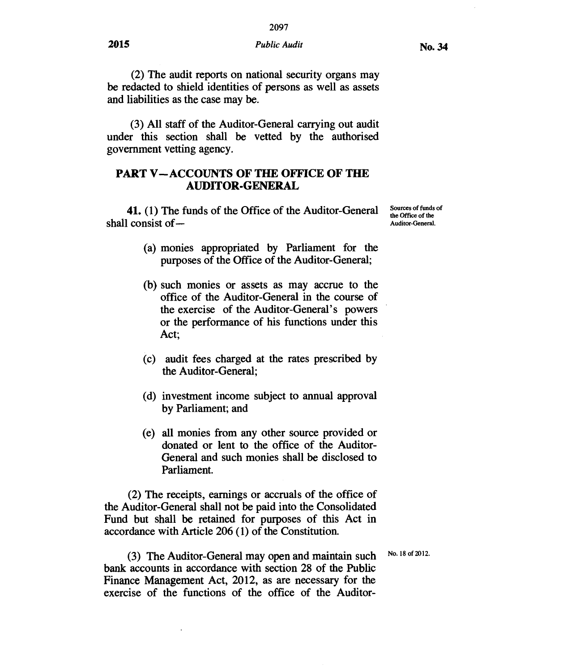#### **2015** *Public Audit*

(2) The audit reports on national security organs may be redacted to shield identities of persons as well as assets and liabilities as the case may be.

(3) All staff of the Auditor-General carrying out audit under this section shall be vetted by the authorised government vetting agency.

## **PART V—ACCOUNTS OF THE OFFICE OF THE AUDITOR-GENERAL**

**41.** (1) The funds of the Office of the Auditor-General shall consist ofSources of funds of the Office of the Auditor-General.

- (a) monies appropriated by Parliament for the purposes of the Office of the Auditor-General;
- (b) such monies or assets as may accrue to the office of the Auditor-General in the course of the exercise of the Auditor-General's powers or the performance of his functions under this Act;
- (c) audit fees charged at the rates prescribed by the Auditor-General;
- (d) investment income subject to annual approval by Parliament; and
- (e) all monies from any other source provided or donated or lent to the office of the Auditor-General and such monies shall be disclosed to Parliament.

(2) The receipts, earnings or accruals of the office of the Auditor-General shall not be paid into the Consolidated Fund but shall be retained for purposes of this Act in accordance with Article 206 (1) of the Constitution.

(3) The Auditor-General may open and maintain such  $N<sub>0.18</sub>$  of 2012. bank accounts in accordance with section 28 of the Public Finance Management Act, 2012, as are necessary for the exercise of the functions of the office of the Auditor-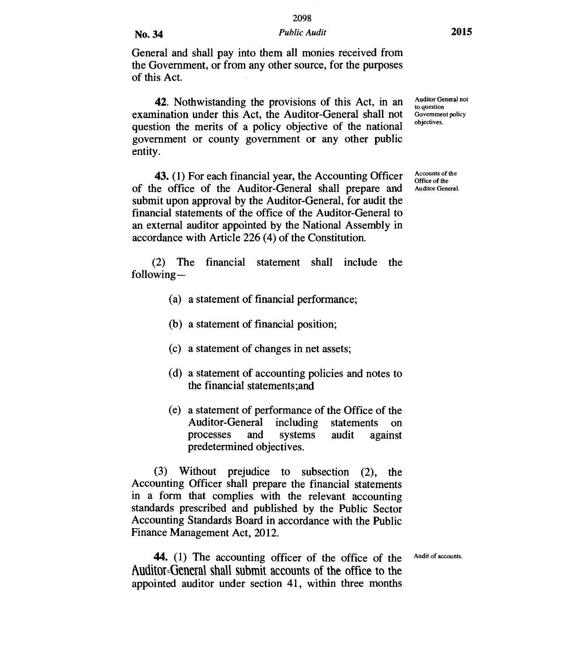## No. 34 *Public Audit* **2015**

General and shall pay into them all monies received from the Government, or from any other source, for the purposes of this Act.

42. Nothwistanding the provisions of this Act, in an examination under this Act, the Auditor-General shall not question the merits of a policy objective of the national government or county government or any other public entity.

**43.** (1) For each financial year, the Accounting Officer of the office of the Auditor-General shall prepare and submit upon approval by the Auditor-General, for audit the financial statements of the office of the Auditor-General to an external auditor appointed by the National Assembly in accordance with Article 226 (4) of the Constitution.

to question Government policy objectives.

Auditor General not

Accounts of the Office of the Auditor General.

(2) The financial statement shall include the following—

- (a) a statement of financial performance;
- (b) a statement of financial position;
- (c) a statement of changes in net assets;
- (d) a statement of accounting policies and notes to the financial statements;and
- (e) a statement of performance of the Office of the Auditor-General including statements on processes and systems audit against predetermined objectives.

(3) Without prejudice to subsection (2), the Accounting Officer shall prepare the financial statements in a form that complies with the relevant accounting standards prescribed and published by the Public Sector Accounting Standards Board in accordance with the Public Finance Management Act, 2012.

**44.** (1) The accounting officer of the office of the Audit of accounts. Auditor-General shall submit accounts of the office to the appointed auditor under section 41, within three months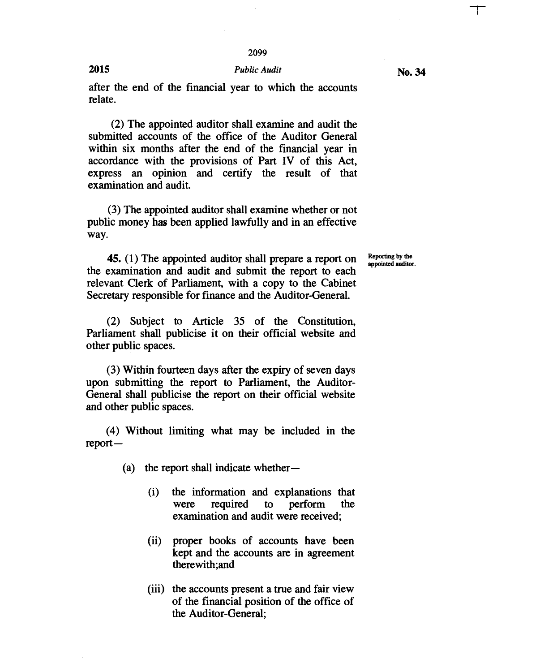#### **2015** *Public Audit*

after the end of the financial year to which the accounts relate.

(2) The appointed auditor shall examine and audit the submitted accounts of the office of the Auditor General within six months after the end of the financial year in accordance with the provisions of Part **IV** of this Act, express an opinion and certify the result of that examination and audit.

(3) The appointed auditor shall examine whether or not public money has been applied lawfully and in an effective way.

**45.** (1) The appointed auditor shall prepare a report on the examination and audit and submit the report to each relevant Clerk of Parliament, with a copy to the Cabinet Secretary responsible for finance and the Auditor-General.

Reporting by the appointed auditor.

(2) Subject to Article 35 of the Constitution, Parliament shall publicise it on their official website and other public spaces.

(3) Within fourteen days after the expiry of seven days upon submitting the report to Parliament, the Auditor-General shall publicise the report on their official website and other public spaces.

(4) Without limiting what may be included in the report—

(a) the report shall indicate whether-

- (i) the information and explanations that were required to perform the examination and audit were received;
- (ii) proper books of accounts have been kept and the accounts are in agreement therewith;and
- (iii) the accounts present a true and fair view of the financial position of the office of the Auditor-General;

**No. 34** 

**"7-**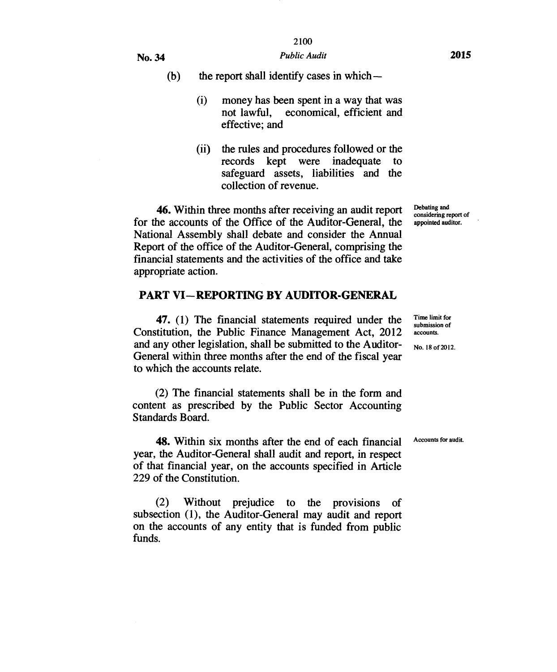## **No. 34** *Public Audit* **2015**

(b) the report shall identify cases in which —

- (i) money has been spent in a way that was<br>not lawful economical efficient and economical, efficient and effective; and
- (ii) the rules and procedures followed or the records kept were inadequate to safeguard assets, liabilities and the collection of revenue.

46. Within three months after receiving an audit report for the accounts of the Office of the Auditor-General, the National Assembly shall debate and consider the Annual Report of the office of the Auditor-General, comprising the financial statements and the activities of the office and take appropriate action.

## **PART VI —REPORTING BY AUDITOR-GENERAL**

47. (1) The financial statements required under the Constitution, the Public Finance Management Act, 2012 and any other legislation, shall be submitted to the Auditor-General within three months after the end of the fiscal year to which the accounts relate.

(2) The financial statements shall be in the form and content as prescribed by the Public Sector Accounting Standards Board.

48. Within six months after the end of each financial year, the Auditor-General shall audit and report, in respect of that financial year, on the accounts specified in Article 229 of the Constitution.

(2) Without prejudice to the provisions of subsection (1), the Auditor-General may audit and report on the accounts of any entity that is funded from public funds.

Debating and considering report of appointed auditor.

Time limit for submission of accounts.

No. 18 of 2012.

Accounts for audit.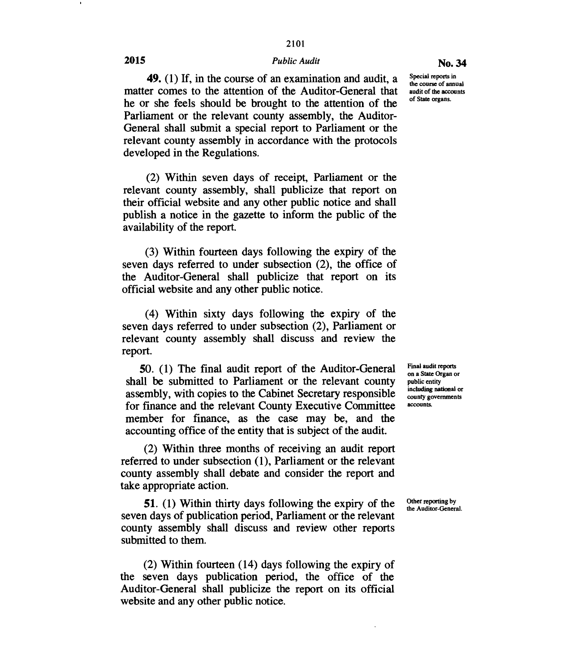## 2015 *Public Audit*

**49.** (1) If, in the course of an examination and audit, a matter comes to the attention of the Auditor-General that he or she feels should be brought to the attention of the Parliament or the relevant county assembly, the Auditor-General shall submit a special report to Parliament or the relevant county assembly in accordance with the protocols developed in the Regulations.

(2) Within seven days of receipt, Parliament or the relevant county assembly, shall publicize that report on their official website and any other public notice and shall publish a notice in the gazette to inform the public of the availability of the report.

(3) Within fourteen days following the expiry of the seven days referred to under subsection (2), the office of the Auditor-General shall publicize that report on its official website and any other public notice.

(4) Within sixty days following the expiry of the seven days referred to under subsection (2), Parliament or relevant county assembly shall discuss and review the report.

50. (1) The final audit report of the Auditor-General shall be submitted to Parliament or the relevant county assembly, with copies to the Cabinet Secretary responsible for finance and the relevant County Executive Committee member for finance, as the case may be, and the accounting office of the entity that is subject of the audit.

(2) Within three months of receiving an audit report referred to under subsection (1), Parliament or the relevant county assembly shall debate and consider the report and take appropriate action.

51. (1) Within thirty days following the expiry of the seven days of publication period, Parliament or the relevant county assembly shall discuss and review other reports submitted to them.

(2) Within fourteen (14) days following the expiry of the seven days publication period, the office of the Auditor-General shall publicize the report on its official website and any other public notice.

Special reports in the course of annual audit of the accounts

of State organs.

Final audit reports on a State Organ or public entity including national or county governments accounts.

Other reporting by the Auditor-General.

#### **No. 34**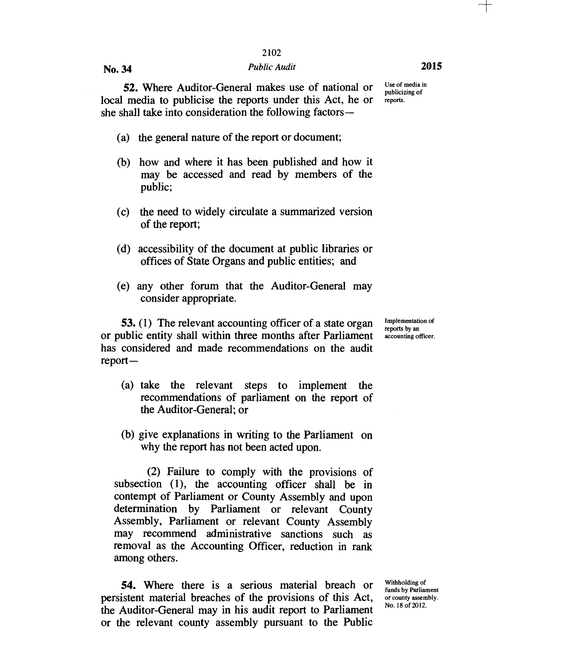## No. 34 *Public Audit* **2015**

52. Where Auditor-General makes use of national or local media to publicise the reports under this Act, he or she shall take into consideration the following factors—

- (a) the general nature of the report or document;
- (b) how and where it has been published and how it may be accessed and read by members of the public;
- (c) the need to widely circulate a summarized version of the report;
- (d) accessibility of the document at public libraries or offices of State Organs and public entities; and
- (e) any other forum that the Auditor-General may consider appropriate.

53. (1) The relevant accounting officer of a state organ or public entity shall within three months after Parliament has considered and made recommendations on the audit report—

- (a) take the relevant steps to implement the recommendations of parliament on the report of the Auditor-General; or
- (b) give explanations in writing to the Parliament on why the report has not been acted upon.

(2) Failure to comply with the provisions of subsection (1), the accounting officer shall be in contempt of Parliament or County Assembly and upon determination by Parliament or relevant County Assembly, Parliament or relevant County Assembly may recommend administrative sanctions such as removal as the Accounting Officer, reduction in rank among others.

**54.** Where there is a serious material breach or persistent material breaches of the provisions of this Act, the Auditor-General may in his audit report to Parliament or the relevant county assembly pursuant to the Public

Withholding of funds by Parliament or county assembly. No. 18 of 2012.

Implementation of reports by an accounting officer.

Use of media in publicizing of reports.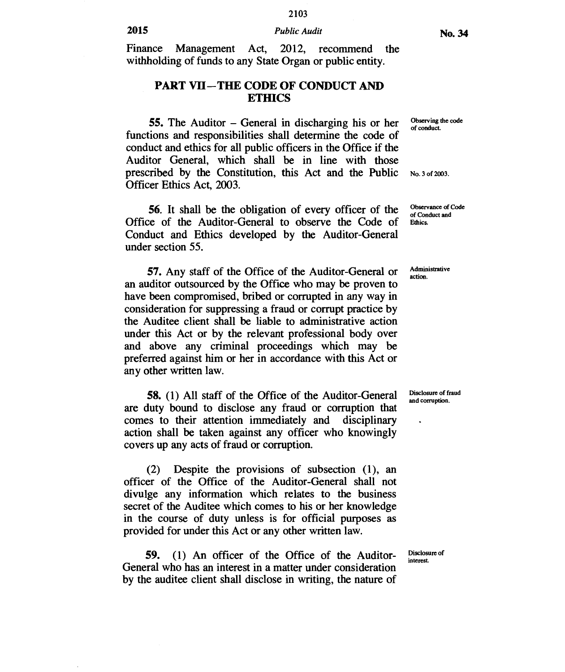## **<sup>2015</sup>***Public Audit* **No. 34**

Finance Management Act, 2012, recommend the withholding of funds to any State Organ or public entity.

## **PART VII—THE CODE OF CONDUCT AND ETHICS**

**55.** The Auditor – General in discharging his or her  $\frac{\text{Observing}}{\text{of conduct}}$ functions and responsibilities shall determine the code of conduct and ethics for all public officers in the Office if the Auditor General, which shall be in line with those prescribed by the Constitution, this Act and the Public No. 3 of 2003. Officer Ethics Act, 2003.

56. It shall be the obligation of every officer of the Office of the Auditor-General to observe the Code of Conduct and Ethics developed by the Auditor-General under section 55.

57. Any staff of the Office of the Auditor-General or an auditor outsourced by the Office who may be proven to have been compromised, bribed or corrupted in any way in consideration for suppressing a fraud or corrupt practice by the Auditee client shall be liable to administrative action under this Act or by the relevant professional body over and above any criminal proceedings which may be preferred against him or her in accordance with this Act or any other written law.

58. (1) All staff of the Office of the Auditor-General are duty bound to disclose any fraud or corruption that comes to their attention immediately and disciplinary action shall be taken against any officer who knowingly covers up any acts of fraud or corruption.

(2) Despite the provisions of subsection (1), an officer of the Office of the Auditor-General shall not divulge any information which relates to the business secret of the Auditee which comes to his or her knowledge in the course of duty unless is for official purposes as provided for under this Act or any other written law.

59. (1) An officer of the Office of the Auditor-General who has an interest in a matter under consideration by the auditee client shall disclose in writing, the nature of Observing the code

Observance of Code of Conduct and Ethics.

Administrative action.

Disclosure of fraud and corruption.

Disclosure of interest.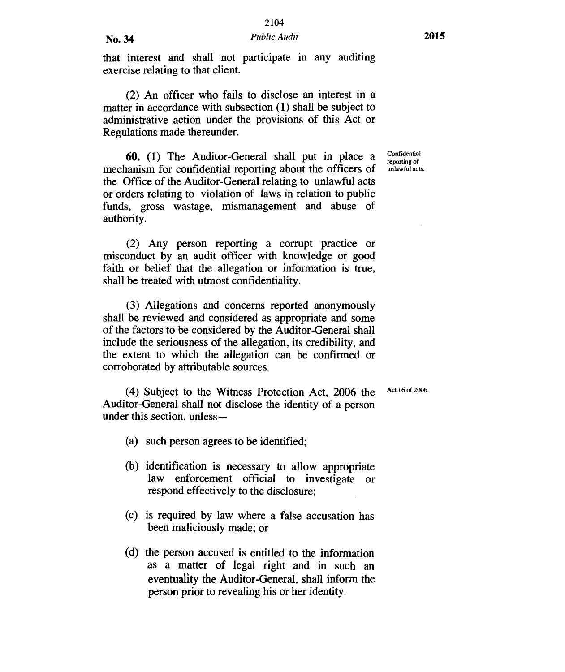(2) An officer who fails to disclose an interest in a matter in accordance with subsection (1) shall be subject to administrative action under the provisions of this Act or Regulations made thereunder.

**60.** (1) The Auditor-General shall put in place a mechanism for confidential reporting about the officers of the Office of the Auditor-General relating to unlawful acts or orders relating to violation of laws in relation to public funds, gross wastage, mismanagement and abuse of authority.

(2) Any person reporting a corrupt practice or misconduct by an audit officer with knowledge or good faith or belief that the allegation or information is true, shall be treated with utmost confidentiality.

(3) Allegations and concerns reported anonymously shall be reviewed and considered as appropriate and some of the factors to be considered by the Auditor-General shall include the seriousness of the allegation, its credibility, and the extent to which the allegation can be confirmed or corroborated by attributable sources.

(4) Subject to the Witness Protection Act, 2006 the Auditor-General shall not disclose the identity of a person under this section. unless—

- (a) such person agrees to be identified;
- (b) identification is necessary to allow appropriate law enforcement official to investigate or respond effectively to the disclosure;
- (c) is required by law where a false accusation has been maliciously made; or
- (d) the person accused is entitled to the information as a matter of legal right and in such an eventuality the Auditor-General, shall inform the person prior to revealing his or her identity.

Confidential reporting of unlawful acts.

Act 16 of 2006.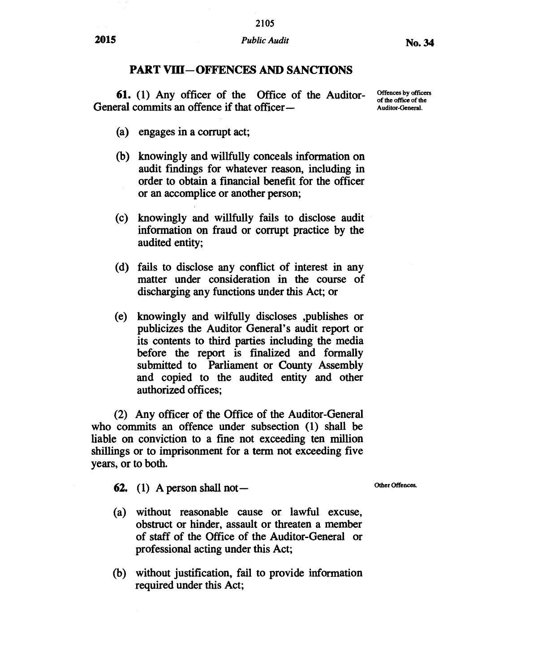## **PART VIII—OFFENCES AND SANCTIONS**

**61. (1) Any officer of the Office of the Auditor-General commits an offence if that officer—** 

Offences by officers of the office of the Auditor-General.

- **(a) engages in a corrupt act;**
- **(b) knowingly and willfully conceals information on audit fmdings for whatever reason, including in order to obtain a financial benefit for the officer or an accomplice or another person;**
- **(c) knowingly and willfully fails to disclose audit information on fraud or corrupt practice by the audited entity;**
- **(d) fails to disclose any conflict of interest in any matter under consideration in the course of discharging any functions under this Act; or**
- **(e) knowingly and wilfully discloses ,publishes or publicizes the Auditor General's audit report or its contents to third parties including the media before the report is finalized and formally submitted to Parliament or County Assembly and copied to the audited entity and other authorized offices;**

**(2) Any officer of the Office of the Auditor-General who commits an offence under subsection (1) shall be liable on conviction to a fine not exceeding ten million shillings or to imprisonment for a term not exceeding five years, or to both.** 

**62. (1) A person shall not—** 

Other Offences.

- **(a) without reasonable cause or lawful excuse, obstruct or hinder, assault or threaten a member of staff of the Office of the Auditor-General or professional acting under this Act;**
- **(b) without justification, fail to provide information required under this Act;**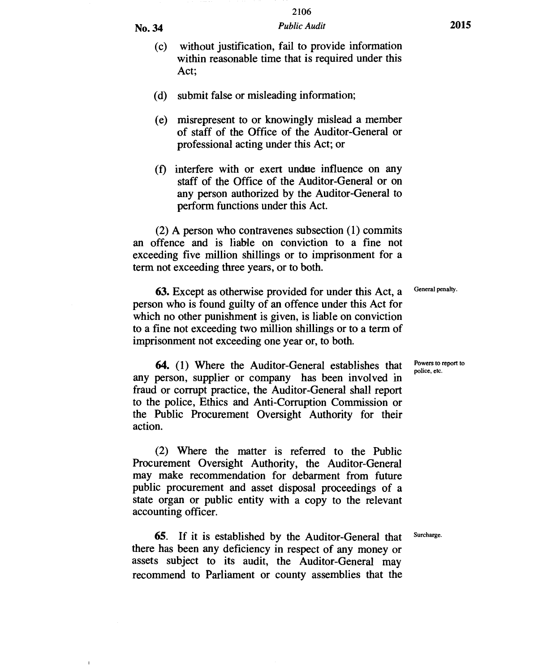$\overline{1}$ 

## No. 34 *Public Audit* **2015**

- 
- (c) without justification, fail to provide information within reasonable time that is required under this Act;
- (d) submit false or misleading information;
- (e) misrepresent to or knowingly mislead a member of staff of the Office of the Auditor-General or professional acting under this Act; or
- (f) interfere with or exert undue influence on any staff of the Office of the Auditor-General or on any person authorized by the Auditor-General to perform functions under this Act.

(2) A person who contravenes subsection (1) commits an offence and is liable on conviction to a fine not exceeding five million shillings or to imprisonment for a term not exceeding three years, or to both.

General penalty.

Powers to report to police, etc.

**63.** Except as otherwise provided for under this Act, a person who is found guilty of an offence under this Act for which no other punishment is given, is liable on conviction to a fine not exceeding two million shillings or to a term of imprisonment not exceeding one year or, to both.

64. (1) Where the Auditor-General establishes that any person, supplier or company has been involved in fraud or corrupt practice, the Auditor-General shall report to the police, Ethics and Anti-Corruption Commission or the Public Procurement Oversight Authority for their action.

(2) Where the matter is referred to the Public Procurement Oversight Authority, the Auditor-General may make recommendation for debarment from future public procurement and asset disposal proceedings of a state organ or public entity with a copy to the relevant accounting officer.

65. If it is established by the Auditor-General that Surcharge. there has been any deficiency in respect of any money or assets subject to its audit, the Auditor-General may recommend to Parliament or county assemblies that the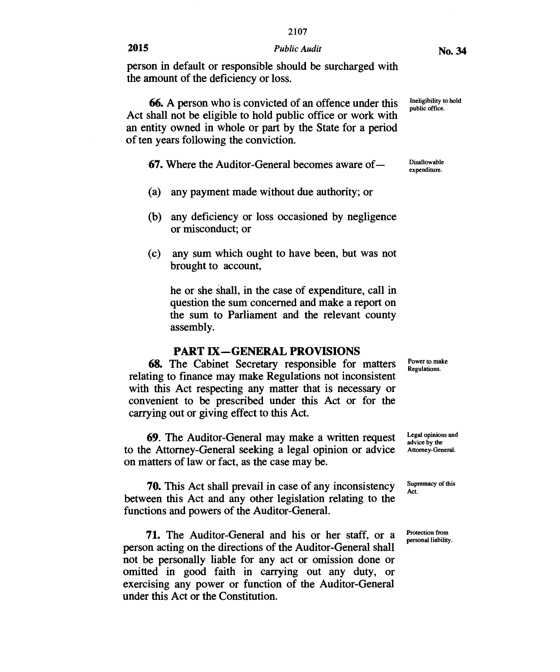## **2015** *Public Audit* **<b>No. 34** *No. 34*

person in default or responsible should be surcharged with the amount of the deficiency or loss.

**66.** A person who is convicted of an offence under this Act shall not be eligible to hold public office or work with an entity owned in whole or part by the State for a period of ten years following the conviction.

## **67.** Where the Auditor-General becomes aware of—

- (a) any payment made without due authority; or
- (b) any deficiency or loss occasioned by negligence or misconduct; or
- (c) any sum which ought to have been, but was not brought to account,

he or she shall, in the case of expenditure, call in question the sum concerned and make a report on the sum to Parliament and the relevant county assembly.

#### **PART IX—GENERAL PROVISIONS**

**68.** The Cabinet Secretary responsible for matters relating to finance may make Regulations not inconsistent with this Act respecting any matter that is necessary or convenient to be prescribed under this Act or for the carrying out or giving effect to this Act.

**69.** The Auditor-General may make a written request to the Attorney-General seeking a legal opinion or advice on matters of law or fact, as the case may be.

**70.** This Act shall prevail in case of any inconsistency between this Act and any other legislation relating to the functions and powers of the Auditor-General.

**71.** The Auditor-General and his or her staff, or a person acting on the directions of the Auditor-General shall not be personally liable for any act or omission done or omitted in good faith in carrying out any duty, or exercising any power or function of the Auditor-General under this Act or the Constitution.

Ineligibility to hold

Disallowable expenditure.

Power to make Regulations.

Legal opinions and advice by the Attorney-General.

Supremacy of this Act.

Protection from personal liability.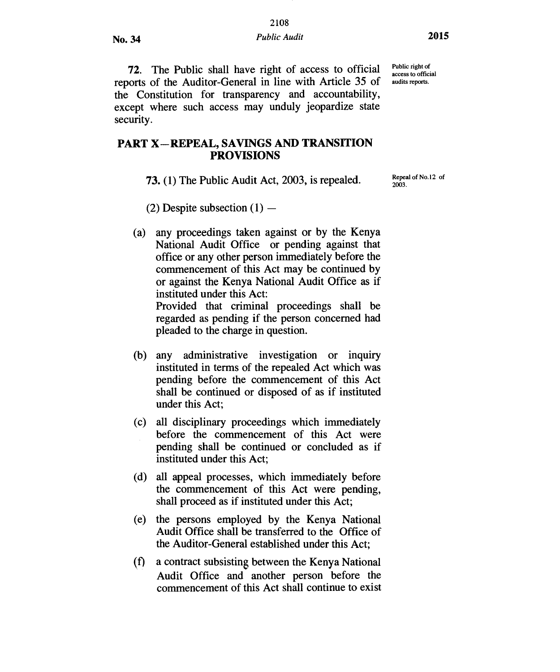**72.** The Public shall have right of access to official reports of the Auditor-General in line with Article 35 of the Constitution for transparency and accountability, except where such access may unduly jeopardize state security.

## **PART X—REPEAL, SAVINGS AND TRANSITION PROVISIONS**

**73.** (1) The Public Audit Act, 2003, is repealed.

Repeal of No.12 of 2003.

Public right of access to official audits reports.

(2) Despite subsection  $(1)$  —

- (a) any proceedings taken against or by the Kenya National Audit Office or pending against that office or any other person immediately before the commencement of this Act may be continued by or against the Kenya National Audit Office as if instituted under this Act: Provided that criminal proceedings shall be regarded as pending if the person concerned had pleaded to the charge in question.
- (b) any administrative investigation or inquiry instituted in terms of the repealed Act which was pending before the commencement of this Act shall be continued or disposed of as if instituted under this Act;
- (c) all disciplinary proceedings which immediately before the commencement of this Act were pending shall be continued or concluded as if instituted under this Act;
- (d) all appeal processes, which immediately before the commencement of this Act were pending, shall proceed as if instituted under this Act;
- (e) the persons employed by the Kenya National Audit Office shall be transferred to the Office of the Auditor-General established under this Act;
- (f) a contract subsisting between the Kenya National Audit Office and another person before the commencement of this Act shall continue to exist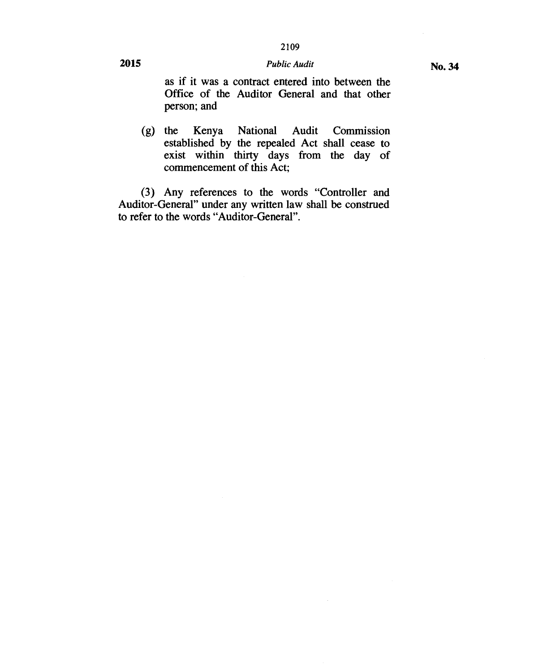## 2109 **2015** *Public Audit*

(g) the Kenya National Audit Commission established by the repealed Act shall cease to exist within thirty days from the day of commencement of this Act;

(3) Any references to the words "Controller and Auditor-General" under any written law shall be construed to refer to the words "Auditor-General".